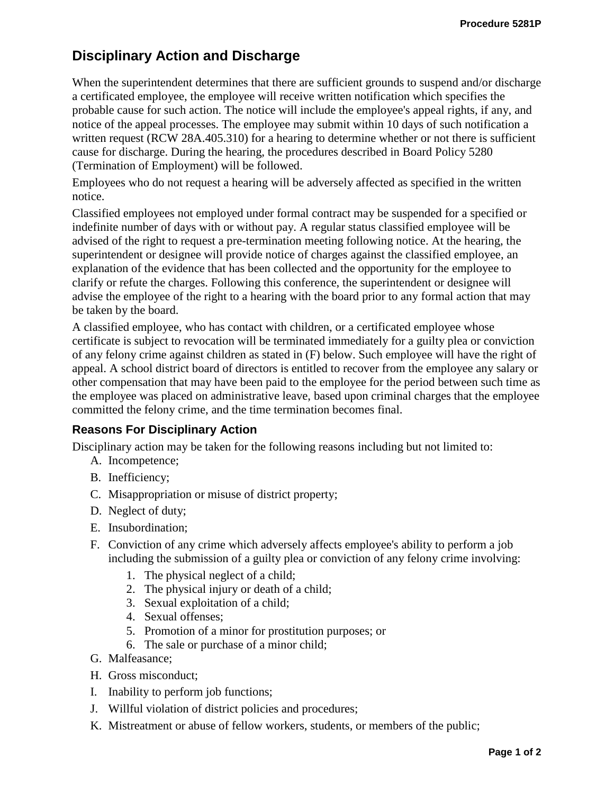# **Disciplinary Action and Discharge**

When the superintendent determines that there are sufficient grounds to suspend and/or discharge a certificated employee, the employee will receive written notification which specifies the probable cause for such action. The notice will include the employee's appeal rights, if any, and notice of the appeal processes. The employee may submit within 10 days of such notification a written request (RCW 28A.405.310) for a hearing to determine whether or not there is sufficient cause for discharge. During the hearing, the procedures described in Board Policy 5280 (Termination of Employment) will be followed.

Employees who do not request a hearing will be adversely affected as specified in the written notice.

Classified employees not employed under formal contract may be suspended for a specified or indefinite number of days with or without pay. A regular status classified employee will be advised of the right to request a pre-termination meeting following notice. At the hearing, the superintendent or designee will provide notice of charges against the classified employee, an explanation of the evidence that has been collected and the opportunity for the employee to clarify or refute the charges. Following this conference, the superintendent or designee will advise the employee of the right to a hearing with the board prior to any formal action that may be taken by the board.

A classified employee, who has contact with children, or a certificated employee whose certificate is subject to revocation will be terminated immediately for a guilty plea or conviction of any felony crime against children as stated in (F) below. Such employee will have the right of appeal. A school district board of directors is entitled to recover from the employee any salary or other compensation that may have been paid to the employee for the period between such time as the employee was placed on administrative leave, based upon criminal charges that the employee committed the felony crime, and the time termination becomes final.

## **Reasons For Disciplinary Action**

Disciplinary action may be taken for the following reasons including but not limited to:

- A. Incompetence;
- B. Inefficiency;
- C. Misappropriation or misuse of district property;
- D. Neglect of duty;
- E. Insubordination;
- F. Conviction of any crime which adversely affects employee's ability to perform a job including the submission of a guilty plea or conviction of any felony crime involving:
	- 1. The physical neglect of a child;
	- 2. The physical injury or death of a child;
	- 3. Sexual exploitation of a child;
	- 4. Sexual offenses;
	- 5. Promotion of a minor for prostitution purposes; or
	- 6. The sale or purchase of a minor child;
- G. Malfeasance;
- H. Gross misconduct;
- I. Inability to perform job functions;
- J. Willful violation of district policies and procedures;
- K. Mistreatment or abuse of fellow workers, students, or members of the public;